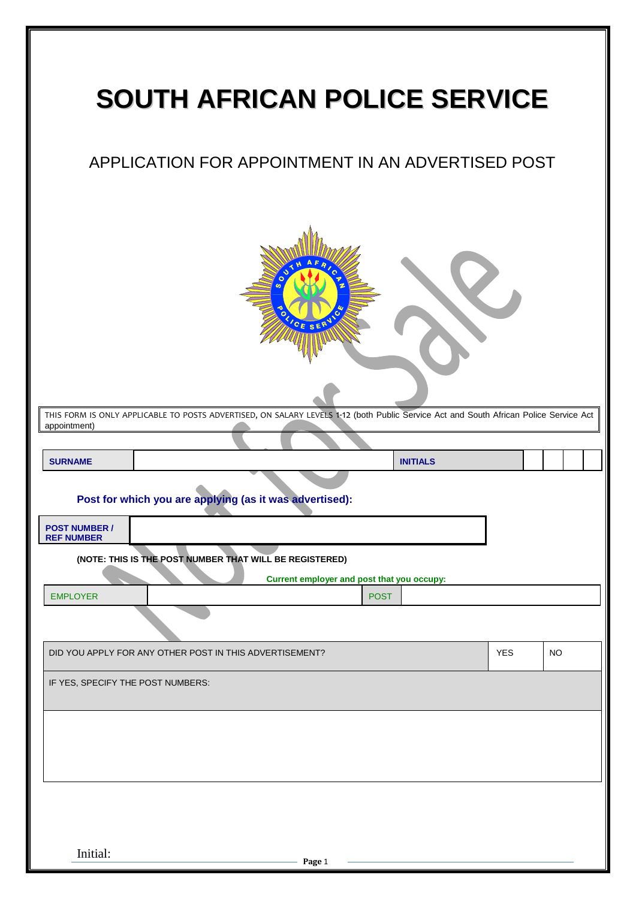| <b>SOUTH AFRICAN POLICE SERVICE</b>                                                                                                                   |            |           |  |  |  |  |  |  |  |  |
|-------------------------------------------------------------------------------------------------------------------------------------------------------|------------|-----------|--|--|--|--|--|--|--|--|
| APPLICATION FOR APPOINTMENT IN AN ADVERTISED POST                                                                                                     |            |           |  |  |  |  |  |  |  |  |
| CE SERV                                                                                                                                               |            |           |  |  |  |  |  |  |  |  |
| THIS FORM IS ONLY APPLICABLE TO POSTS ADVERTISED, ON SALARY LEVELS 1-12 (both Public Service Act and South African Police Service Act<br>appointment) |            |           |  |  |  |  |  |  |  |  |
|                                                                                                                                                       |            |           |  |  |  |  |  |  |  |  |
| <b>SURNAME</b><br><b>INITIALS</b>                                                                                                                     |            |           |  |  |  |  |  |  |  |  |
| Post for which you are applying (as it was advertised):                                                                                               |            |           |  |  |  |  |  |  |  |  |
| <b>POST NUMBER /</b><br><b>REF NUMBER</b>                                                                                                             |            |           |  |  |  |  |  |  |  |  |
| (NOTE: THIS IS THE POST NUMBER THAT WILL BE REGISTERED)<br>Current employer and post that you occupy:                                                 |            |           |  |  |  |  |  |  |  |  |
| <b>EMPLOYER</b><br><b>POST</b>                                                                                                                        |            |           |  |  |  |  |  |  |  |  |
|                                                                                                                                                       |            |           |  |  |  |  |  |  |  |  |
| DID YOU APPLY FOR ANY OTHER POST IN THIS ADVERTISEMENT?                                                                                               | <b>YES</b> | <b>NO</b> |  |  |  |  |  |  |  |  |
| IF YES, SPECIFY THE POST NUMBERS:                                                                                                                     |            |           |  |  |  |  |  |  |  |  |
|                                                                                                                                                       |            |           |  |  |  |  |  |  |  |  |
|                                                                                                                                                       |            |           |  |  |  |  |  |  |  |  |
|                                                                                                                                                       |            |           |  |  |  |  |  |  |  |  |
| Initial:<br>Page 1                                                                                                                                    |            |           |  |  |  |  |  |  |  |  |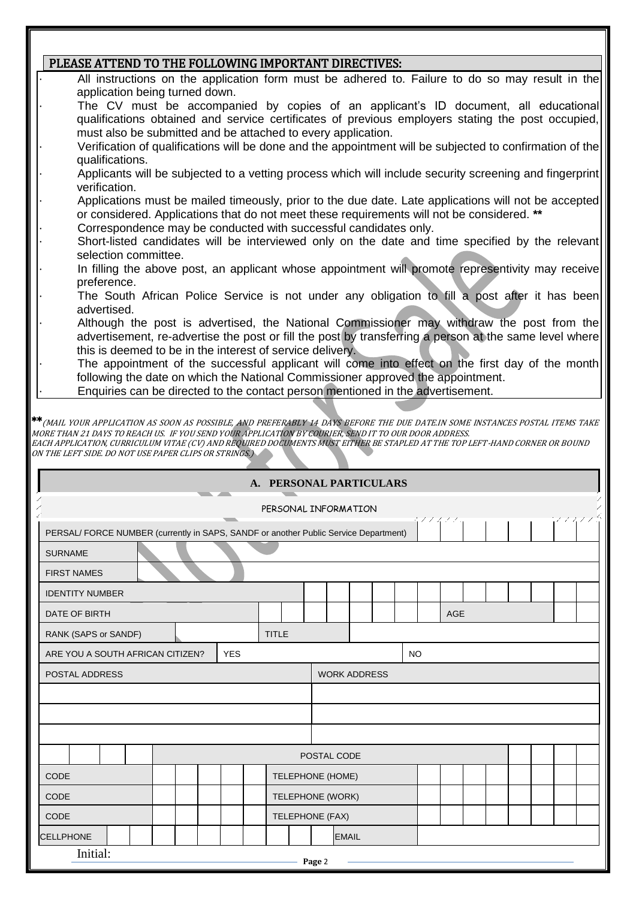## PLEASE ATTEND TO THE FOLLOWING IMPORTANT DIRECTIVES:

- · All instructions on the application form must be adhered to. Failure to do so may result in the application being turned down. The CV must be accompanied by copies of an applicant's ID document, all educational qualifications obtained and service certificates of previous employers stating the post occupied, must also be submitted and be attached to every application. · Verification of qualifications will be done and the appointment will be subjected to confirmation of the qualifications. · Applicants will be subjected to a vetting process which will include security screening and fingerprint verification. · Applications must be mailed timeously, prior to the due date. Late applications will not be accepted or considered. Applications that do not meet these requirements will not be considered. **\*\*** Correspondence may be conducted with successful candidates only. Short-listed candidates will be interviewed only on the date and time specified by the relevant selection committee. In filling the above post, an applicant whose appointment will promote representivity may receive preference. The South African Police Service is not under any obligation to fill a post after it has been advertised. · Although the post is advertised, the National Commissioner may withdraw the post from the advertisement, re-advertise the post or fill the post by transferring a person at the same level where this is deemed to be in the interest of service delivery. The appointment of the successful applicant will come into effect on the first day of the month following the date on which the National Commissioner approved the appointment.
- Enquiries can be directed to the contact person mentioned in the advertisement.

\*\*(MAIL YOUR APPLICATION AS SOON AS POSSIBLE, AND PREFERABLY 14 DAYS BEFORE THE DUE DATE.IN SOME INSTANCES POSTAL ITEMS TAKE MORE THAN 21 DAYS TO REACH US. IF YOU SEND YOUR APPLICATION BY COURIER, SEND IT TO OUR DOOR ADDRESS. EACH APPLICATION, CURRICULUM VITAE (CV) AND REQUIRED DOCUMENTS MUST EITHER BE STAPLED AT THE TOP LEFT-HAND CORNER OR BOUND ON THE LEFT SIDE. DO NOT USE PAPER CLIPS OR STRINGS.)

| A. PERSONAL PARTICULARS<br><b>The Common Service</b>                                          |                         |                  |  |                     |             |  |  |  |  |     |  |  |  |  |
|-----------------------------------------------------------------------------------------------|-------------------------|------------------|--|---------------------|-------------|--|--|--|--|-----|--|--|--|--|
| PERSONAL INFORMATION                                                                          |                         |                  |  |                     |             |  |  |  |  |     |  |  |  |  |
| 77474<br>PERSAL/ FORCE NUMBER (currently in SAPS, SANDF or another Public Service Department) |                         |                  |  |                     |             |  |  |  |  |     |  |  |  |  |
| <b>SURNAME</b>                                                                                |                         |                  |  |                     |             |  |  |  |  |     |  |  |  |  |
| <b>FIRST NAMES</b>                                                                            |                         |                  |  |                     |             |  |  |  |  |     |  |  |  |  |
| <b>IDENTITY NUMBER</b>                                                                        |                         |                  |  |                     |             |  |  |  |  |     |  |  |  |  |
| DATE OF BIRTH                                                                                 |                         |                  |  |                     |             |  |  |  |  | AGE |  |  |  |  |
| RANK (SAPS or SANDF)                                                                          |                         | <b>TITLE</b>     |  |                     |             |  |  |  |  |     |  |  |  |  |
| ARE YOU A SOUTH AFRICAN CITIZEN?                                                              | <b>YES</b><br><b>NO</b> |                  |  |                     |             |  |  |  |  |     |  |  |  |  |
| POSTAL ADDRESS                                                                                |                         |                  |  | <b>WORK ADDRESS</b> |             |  |  |  |  |     |  |  |  |  |
|                                                                                               |                         |                  |  |                     |             |  |  |  |  |     |  |  |  |  |
|                                                                                               |                         |                  |  |                     |             |  |  |  |  |     |  |  |  |  |
|                                                                                               |                         |                  |  |                     |             |  |  |  |  |     |  |  |  |  |
|                                                                                               |                         |                  |  |                     | POSTAL CODE |  |  |  |  |     |  |  |  |  |
| <b>CODE</b>                                                                                   |                         | TELEPHONE (HOME) |  |                     |             |  |  |  |  |     |  |  |  |  |
| CODE<br>TELEPHONE (WORK)                                                                      |                         |                  |  |                     |             |  |  |  |  |     |  |  |  |  |
| CODE<br>TELEPHONE (FAX)                                                                       |                         |                  |  |                     |             |  |  |  |  |     |  |  |  |  |
| <b>CELLPHONE</b><br><b>EMAIL</b>                                                              |                         |                  |  |                     |             |  |  |  |  |     |  |  |  |  |
| Initial:<br>Page 2                                                                            |                         |                  |  |                     |             |  |  |  |  |     |  |  |  |  |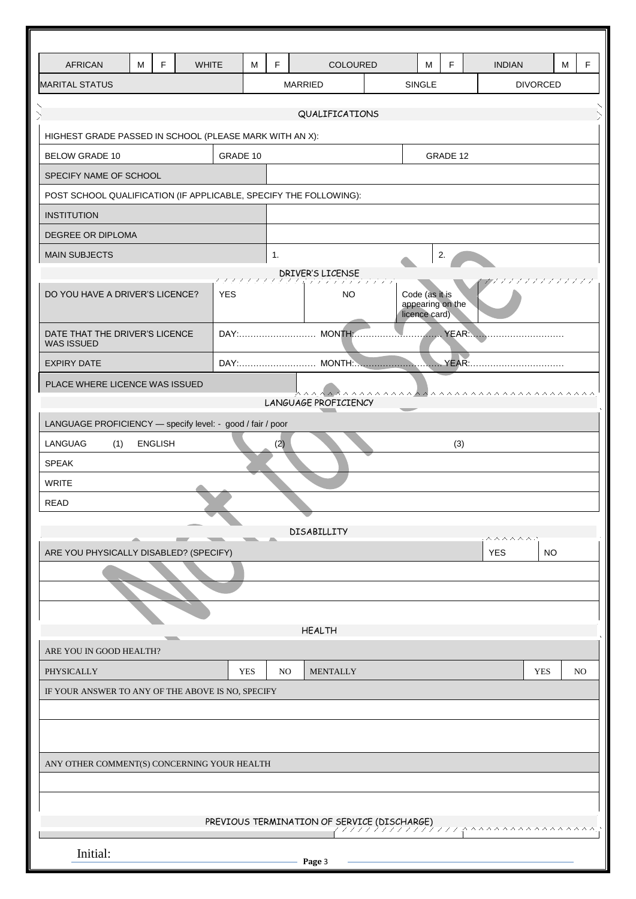| <b>AFRICAN</b>                                                    | M                   | F | <b>WHITE</b> |            | M          | F              |                                     | COLOURED        |  | М                                                   | F   | <b>INDIAN</b> |                 | M | F   |
|-------------------------------------------------------------------|---------------------|---|--------------|------------|------------|----------------|-------------------------------------|-----------------|--|-----------------------------------------------------|-----|---------------|-----------------|---|-----|
| <b>MARITAL STATUS</b>                                             |                     |   |              |            |            |                | <b>MARRIED</b>                      |                 |  | <b>SINGLE</b>                                       |     |               | <b>DIVORCED</b> |   |     |
| QUALIFICATIONS                                                    |                     |   |              |            |            |                |                                     |                 |  |                                                     |     |               |                 |   |     |
| HIGHEST GRADE PASSED IN SCHOOL (PLEASE MARK WITH AN X):           |                     |   |              |            |            |                |                                     |                 |  |                                                     |     |               |                 |   |     |
| GRADE 10<br><b>BELOW GRADE 10</b><br>GRADE 12                     |                     |   |              |            |            |                |                                     |                 |  |                                                     |     |               |                 |   |     |
| SPECIFY NAME OF SCHOOL                                            |                     |   |              |            |            |                |                                     |                 |  |                                                     |     |               |                 |   |     |
| POST SCHOOL QUALIFICATION (IF APPLICABLE, SPECIFY THE FOLLOWING): |                     |   |              |            |            |                |                                     |                 |  |                                                     |     |               |                 |   |     |
| <b>INSTITUTION</b>                                                |                     |   |              |            |            |                |                                     |                 |  |                                                     |     |               |                 |   |     |
| <b>DEGREE OR DIPLOMA</b>                                          |                     |   |              |            |            |                |                                     |                 |  |                                                     |     |               |                 |   |     |
| <b>MAIN SUBJECTS</b>                                              |                     |   |              |            |            | 1.             |                                     |                 |  |                                                     | 2.  |               |                 |   |     |
|                                                                   |                     |   |              |            |            |                | DRIVER'S LICENSE<br>にんたいいんにんだんきょうかん |                 |  |                                                     |     |               | アプランスアンプランス     |   |     |
| DO YOU HAVE A DRIVER'S LICENCE?                                   |                     |   |              | <b>YES</b> |            |                |                                     | <b>NO</b>       |  | Code (as it is<br>appearing on the<br>licence card) |     |               |                 |   |     |
| DATE THAT THE DRIVER'S LICENCE<br><b>WAS ISSUED</b>               |                     |   |              |            |            |                |                                     |                 |  |                                                     |     |               |                 |   |     |
| <b>EXPIRY DATE</b>                                                |                     |   |              |            |            |                |                                     |                 |  |                                                     |     |               |                 |   |     |
| PLACE WHERE LICENCE WAS ISSUED                                    |                     |   |              |            |            |                |                                     |                 |  |                                                     |     |               |                 |   |     |
|                                                                   |                     |   |              |            |            |                | LANGUAGE PROFICIENCY                |                 |  |                                                     |     |               |                 |   |     |
| LANGUAGE PROFICIENCY - specify level: - good / fair / poor        |                     |   |              |            |            |                |                                     |                 |  |                                                     |     |               |                 |   |     |
| LANGUAG<br>(1)                                                    | <b>ENGLISH</b>      |   |              |            |            | (2)            |                                     |                 |  |                                                     | (3) |               |                 |   |     |
| <b>SPEAK</b>                                                      |                     |   |              |            |            |                |                                     |                 |  |                                                     |     |               |                 |   |     |
| <b>WRITE</b><br><b>READ</b>                                       |                     |   |              |            |            |                |                                     |                 |  |                                                     |     |               |                 |   |     |
|                                                                   |                     |   |              |            |            |                |                                     |                 |  |                                                     |     |               |                 |   |     |
|                                                                   |                     |   |              |            |            |                | <b>DISABILLITY</b>                  |                 |  |                                                     |     | ヘヘヘヘヘヘ        |                 |   |     |
| ARE YOU PHYSICALLY DISABLED? (SPECIFY)                            |                     |   |              |            |            |                |                                     |                 |  |                                                     |     | <b>YES</b>    | NO              |   |     |
|                                                                   |                     |   |              |            |            |                |                                     |                 |  |                                                     |     |               |                 |   |     |
|                                                                   |                     |   |              |            |            |                |                                     |                 |  |                                                     |     |               |                 |   |     |
|                                                                   |                     |   |              |            |            |                | <b>HEALTH</b>                       |                 |  |                                                     |     |               |                 |   |     |
| ARE YOU IN GOOD HEALTH?                                           |                     |   |              |            |            |                |                                     |                 |  |                                                     |     |               |                 |   |     |
| PHYSICALLY                                                        |                     |   |              |            | <b>YES</b> | N <sub>O</sub> |                                     | <b>MENTALLY</b> |  |                                                     |     |               | <b>YES</b>      |   | NO. |
| IF YOUR ANSWER TO ANY OF THE ABOVE IS NO, SPECIFY                 |                     |   |              |            |            |                |                                     |                 |  |                                                     |     |               |                 |   |     |
|                                                                   |                     |   |              |            |            |                |                                     |                 |  |                                                     |     |               |                 |   |     |
|                                                                   |                     |   |              |            |            |                |                                     |                 |  |                                                     |     |               |                 |   |     |
|                                                                   |                     |   |              |            |            |                |                                     |                 |  |                                                     |     |               |                 |   |     |
| ANY OTHER COMMENT(S) CONCERNING YOUR HEALTH                       |                     |   |              |            |            |                |                                     |                 |  |                                                     |     |               |                 |   |     |
|                                                                   |                     |   |              |            |            |                |                                     |                 |  |                                                     |     |               |                 |   |     |
| PREVIOUS TERMINATION OF SERVICE (DISCHARGE)                       |                     |   |              |            |            |                |                                     |                 |  |                                                     |     |               |                 |   |     |
|                                                                   | ハハハハハハハ ハ<br>ハハハハハハ |   |              |            |            |                |                                     |                 |  |                                                     |     |               |                 |   |     |
| Initial:                                                          |                     |   |              |            |            |                | Page 3                              |                 |  |                                                     |     |               |                 |   |     |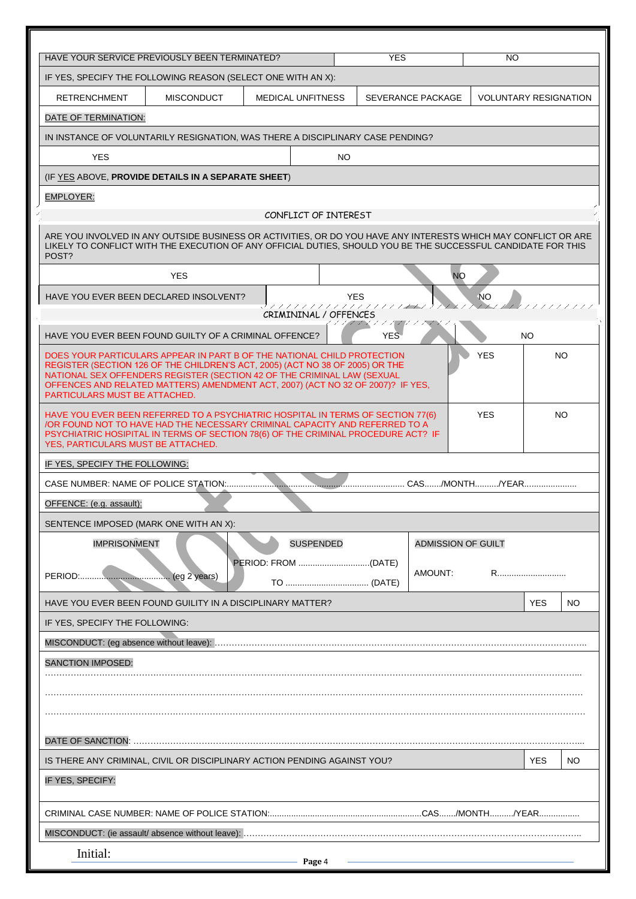| HAVE YOUR SERVICE PREVIOUSLY BEEN TERMINATED?                                                                                                                                                                                                                                                                                                           |                   |                          |                  | <b>YES</b>                          |                           | NO.                          |            |     |
|---------------------------------------------------------------------------------------------------------------------------------------------------------------------------------------------------------------------------------------------------------------------------------------------------------------------------------------------------------|-------------------|--------------------------|------------------|-------------------------------------|---------------------------|------------------------------|------------|-----|
| IF YES, SPECIFY THE FOLLOWING REASON (SELECT ONE WITH AN X):                                                                                                                                                                                                                                                                                            |                   |                          |                  |                                     |                           |                              |            |     |
| <b>RETRENCHMENT</b>                                                                                                                                                                                                                                                                                                                                     | <b>MISCONDUCT</b> | <b>MEDICAL UNFITNESS</b> |                  |                                     | SEVERANCE PACKAGE         | <b>VOLUNTARY RESIGNATION</b> |            |     |
| DATE OF TERMINATION:                                                                                                                                                                                                                                                                                                                                    |                   |                          |                  |                                     |                           |                              |            |     |
| IN INSTANCE OF VOLUNTARILY RESIGNATION, WAS THERE A DISCIPLINARY CASE PENDING?                                                                                                                                                                                                                                                                          |                   |                          |                  |                                     |                           |                              |            |     |
| <b>YES</b>                                                                                                                                                                                                                                                                                                                                              |                   |                          | NO.              |                                     |                           |                              |            |     |
| (IF YES ABOVE, PROVIDE DETAILS IN A SEPARATE SHEET)                                                                                                                                                                                                                                                                                                     |                   |                          |                  |                                     |                           |                              |            |     |
| <b>EMPLOYER:</b>                                                                                                                                                                                                                                                                                                                                        |                   |                          |                  |                                     |                           |                              |            |     |
|                                                                                                                                                                                                                                                                                                                                                         |                   | CONFLICT OF INTEREST     |                  |                                     |                           |                              |            |     |
| ARE YOU INVOLVED IN ANY OUTSIDE BUSINESS OR ACTIVITIES, OR DO YOU HAVE ANY INTERESTS WHICH MAY CONFLICT OR ARE<br>LIKELY TO CONFLICT WITH THE EXECUTION OF ANY OFFICIAL DUTIES. SHOULD YOU BE THE SUCCESSFUL CANDIDATE FOR THIS<br>POST?                                                                                                                |                   |                          |                  |                                     |                           |                              |            |     |
|                                                                                                                                                                                                                                                                                                                                                         | <b>YES</b>        |                          |                  |                                     | <b>NO</b>                 |                              |            |     |
| HAVE YOU EVER BEEN DECLARED INSOLVENT?                                                                                                                                                                                                                                                                                                                  |                   | CRIMININAL / OFFENCES    |                  | <b>YES</b><br>111111111111111111111 |                           | <b>NO</b>                    | 777777777  |     |
| HAVE YOU EVER BEEN FOUND GUILTY OF A CRIMINAL OFFENCE?                                                                                                                                                                                                                                                                                                  |                   |                          |                  | <b>YES</b>                          |                           |                              | NO.        |     |
| DOES YOUR PARTICULARS APPEAR IN PART B OF THE NATIONAL CHILD PROTECTION<br>REGISTER (SECTION 126 OF THE CHILDREN'S ACT, 2005) (ACT NO 38 OF 2005) OR THE<br>NATIONAL SEX OFFENDERS REGISTER (SECTION 42 OF THE CRIMINAL LAW (SEXUAL<br>OFFENCES AND RELATED MATTERS) AMENDMENT ACT, 2007) (ACT NO 32 OF 2007)? IF YES,<br>PARTICULARS MUST BE ATTACHED. |                   |                          |                  |                                     |                           | <b>YES</b>                   |            | NO. |
| HAVE YOU EVER BEEN REFERRED TO A PSYCHIATRIC HOSPITAL IN TERMS OF SECTION 77(6)<br>OR FOUND NOT TO HAVE HAD THE NECESSARY CRIMINAL CAPACITY AND REFERRED TO A<br>PSYCHIATRIC HOSIPITAL IN TERMS OF SECTION 78(6) OF THE CRIMINAL PROCEDURE ACT? IF<br>YES, PARTICULARS MUST BE ATTACHED.                                                                |                   |                          |                  |                                     |                           | <b>YES</b>                   |            | NO. |
| IF YES, SPECIFY THE FOLLOWING:                                                                                                                                                                                                                                                                                                                          |                   |                          |                  |                                     |                           |                              |            |     |
| CASE NUMBER: NAME OF POLICE STATION:<br>. CAS/MONTH/YEAR                                                                                                                                                                                                                                                                                                |                   |                          |                  |                                     |                           |                              |            |     |
| OFFENCE: (e.g. assault):                                                                                                                                                                                                                                                                                                                                |                   |                          |                  |                                     |                           |                              |            |     |
| SENTENCE IMPOSED (MARK ONE WITH AN X):                                                                                                                                                                                                                                                                                                                  |                   |                          |                  |                                     |                           |                              |            |     |
| <b>IMPRISONMENT</b>                                                                                                                                                                                                                                                                                                                                     |                   |                          | <b>SUSPENDED</b> |                                     | <b>ADMISSION OF GUILT</b> |                              |            |     |
|                                                                                                                                                                                                                                                                                                                                                         |                   |                          |                  |                                     | AMOUNT:                   |                              | R          |     |
| HAVE YOU EVER BEEN FOUND GUILITY IN A DISCIPLINARY MATTER?                                                                                                                                                                                                                                                                                              |                   |                          |                  |                                     |                           |                              | <b>YES</b> | NO. |
| IF YES, SPECIFY THE FOLLOWING:                                                                                                                                                                                                                                                                                                                          |                   |                          |                  |                                     |                           |                              |            |     |
|                                                                                                                                                                                                                                                                                                                                                         |                   |                          |                  |                                     |                           |                              |            |     |
| SANCTION IMPOSED:                                                                                                                                                                                                                                                                                                                                       |                   |                          |                  |                                     |                           |                              |            |     |
|                                                                                                                                                                                                                                                                                                                                                         |                   |                          |                  |                                     |                           |                              |            |     |
|                                                                                                                                                                                                                                                                                                                                                         |                   |                          |                  |                                     |                           |                              |            |     |
|                                                                                                                                                                                                                                                                                                                                                         |                   |                          |                  |                                     |                           |                              |            |     |
|                                                                                                                                                                                                                                                                                                                                                         |                   |                          |                  |                                     |                           |                              |            |     |
| IS THERE ANY CRIMINAL, CIVIL OR DISCIPLINARY ACTION PENDING AGAINST YOU?                                                                                                                                                                                                                                                                                |                   |                          |                  |                                     |                           |                              | <b>YES</b> | NO. |
| IF YES, SPECIFY:                                                                                                                                                                                                                                                                                                                                        |                   |                          |                  |                                     |                           |                              |            |     |
|                                                                                                                                                                                                                                                                                                                                                         |                   |                          |                  |                                     |                           |                              |            |     |
|                                                                                                                                                                                                                                                                                                                                                         |                   |                          |                  |                                     |                           |                              |            |     |
| Initial:                                                                                                                                                                                                                                                                                                                                                |                   | Page 4                   |                  |                                     |                           |                              |            |     |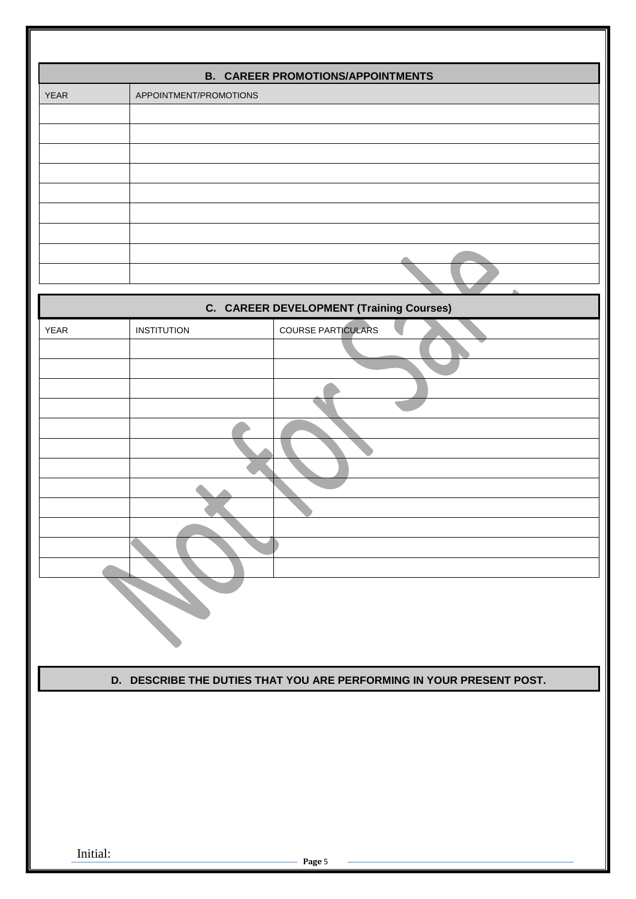|             | <b>B. CAREER PROMOTIONS/APPOINTMENTS</b>                             |
|-------------|----------------------------------------------------------------------|
| <b>YEAR</b> | APPOINTMENT/PROMOTIONS                                               |
|             | $\mathbb{R}^n$                                                       |
|             | <b>C. CAREER DEVELOPMENT (Training Courses)</b>                      |
| <b>YEAR</b> | <b>COURSE PARTICULARS</b><br><b>INSTITUTION</b>                      |
|             | D. DESCRIBE THE DUTIES THAT YOU ARE PERFORMING IN YOUR PRESENT POST. |
| Initial:    | Page 5                                                               |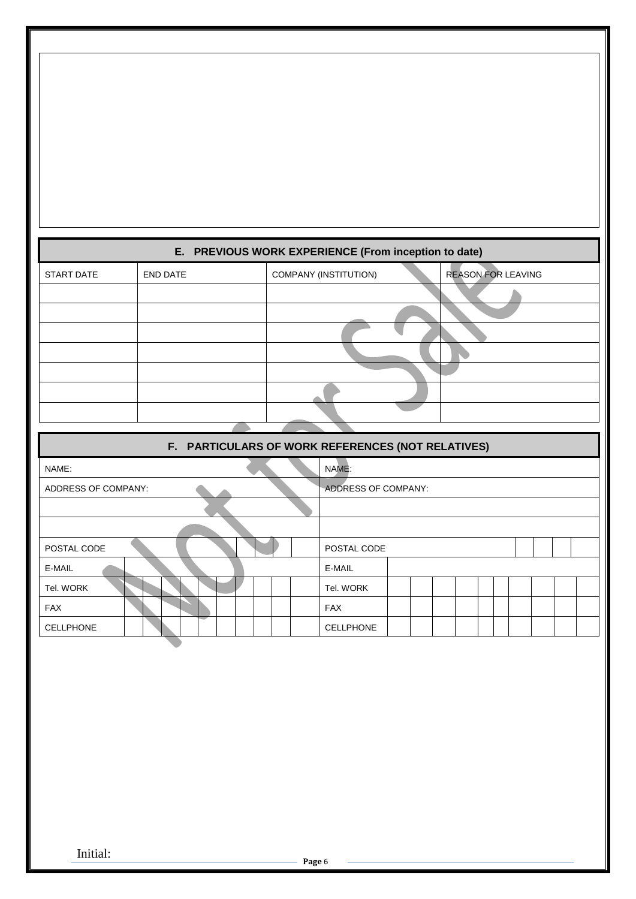| E. PREVIOUS WORK EXPERIENCE (From inception to date) |                 |  |                                                    |  |  |  |  |  |  |
|------------------------------------------------------|-----------------|--|----------------------------------------------------|--|--|--|--|--|--|
| <b>START DATE</b>                                    | <b>END DATE</b> |  | COMPANY (INSTITUTION)<br><b>REASON FOR LEAVING</b> |  |  |  |  |  |  |
|                                                      |                 |  |                                                    |  |  |  |  |  |  |
|                                                      |                 |  |                                                    |  |  |  |  |  |  |
|                                                      |                 |  |                                                    |  |  |  |  |  |  |
|                                                      |                 |  |                                                    |  |  |  |  |  |  |
|                                                      |                 |  |                                                    |  |  |  |  |  |  |
|                                                      |                 |  |                                                    |  |  |  |  |  |  |
|                                                      |                 |  |                                                    |  |  |  |  |  |  |
|                                                      |                 |  | F. PARTICULARS OF WORK REFERENCES (NOT RELATIVES)  |  |  |  |  |  |  |
| NAME:                                                |                 |  | NAME:                                              |  |  |  |  |  |  |
| ADDRESS OF COMPANY:                                  |                 |  | ADDRESS OF COMPANY:                                |  |  |  |  |  |  |
|                                                      |                 |  |                                                    |  |  |  |  |  |  |
|                                                      |                 |  |                                                    |  |  |  |  |  |  |
| POSTAL CODE                                          |                 |  | POSTAL CODE                                        |  |  |  |  |  |  |
| E-MAIL                                               |                 |  | E-MAIL                                             |  |  |  |  |  |  |
| Tel. WORK                                            |                 |  | Tel. WORK                                          |  |  |  |  |  |  |
| <b>FAX</b>                                           |                 |  | <b>FAX</b>                                         |  |  |  |  |  |  |
| <b>CELLPHONE</b>                                     |                 |  | <b>CELLPHONE</b>                                   |  |  |  |  |  |  |
|                                                      |                 |  |                                                    |  |  |  |  |  |  |

Initial: